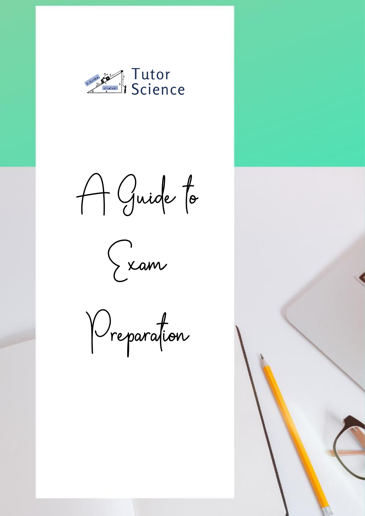

A Guide to



Preparation

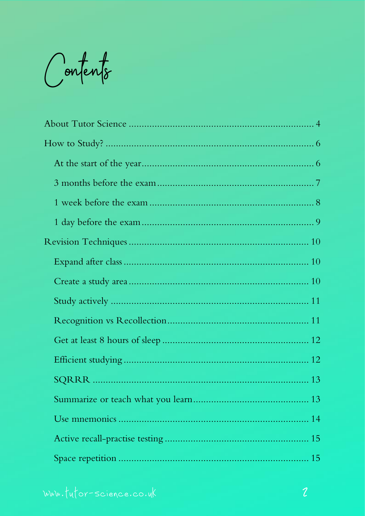Contents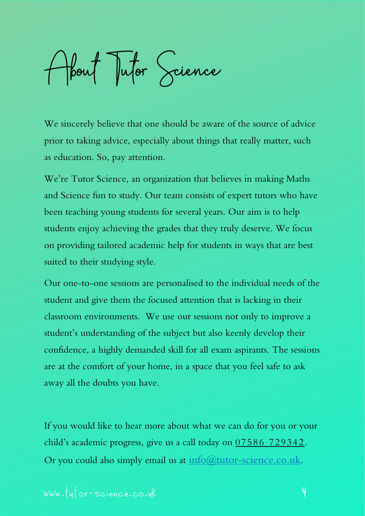<span id="page-3-0"></span>About Tutor Science

We sincerely believe that one should be aware of the source of advice prior to taking advice, especially about things that really matter, such as education. So, pay attention.

We're Tutor Science, an organization that believes in making Maths and Science fun to study. Our team consists of expert tutors who have been teaching young students for several years. Our aim is to help students enjoy achieving the grades that they truly deserve. We focus on providing tailored academic help for students in ways that are best suited to their studying style.

Our one-to-one sessions are personalised to the individual needs of the student and give them the focused attention that is lacking in their classroom environments. We use our sessions not only to improve a student's understanding of the subject but also keenly develop their confidence, a highly demanded skill for all exam aspirants. The sessions are at the comfort of your home, in a space that you feel safe to ask away all the doubts you have.

If you would like to hear more about what we can do for you or your child's academic progress, give us a call today on 07586 729342 . Or you could also simply email us at  $\frac{info(\hat{a})tutor-science.co.uk.}$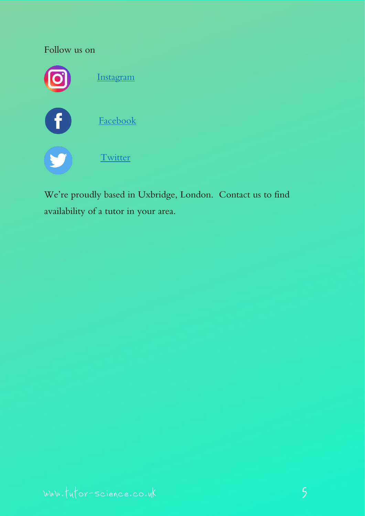

We're proudly based in Uxbridge, London. Contact us to find availability of a tutor in your area.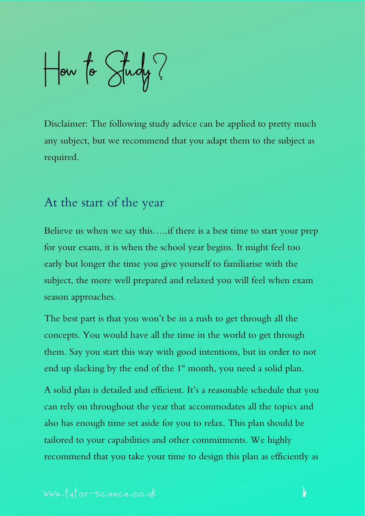<span id="page-5-0"></span>How to Study?

Disclaimer: The following study advice can be applied to pretty much any subject, but we recommend that you adapt them to the subject as required.

#### <span id="page-5-1"></span>At the start of the year

Believe us when we say this…..if there is a best time to start your prep for your exam, it is when the school year begins. It might feel too early but longer the time you give yourself to familiarise with the subject, the more well prepared and relaxed you will feel when exam season approaches.

The best part is that you won't be in a rush to get through all the concepts. You would have all the time in the world to get through them. Say you start this way with good intentions, but in order to not end up slacking by the end of the  $1<sup>st</sup>$  month, you need a solid plan.

A solid plan is detailed and efficient. It's a reasonable schedule that you can rely on throughout the year that accommodates all the topics and also has enough time set aside for you to relax. This plan should be tailored to your capabilities and other commitments. We highly recommend that you take your time to design this plan as efficiently as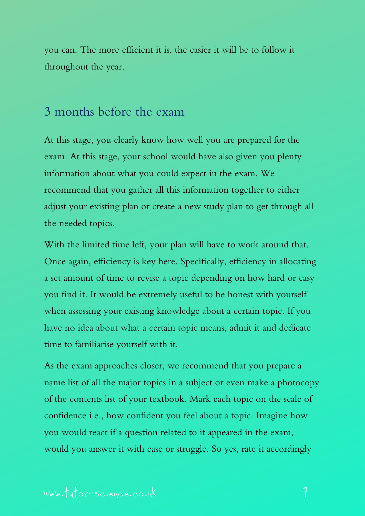you can. The more efficient it is, the easier it will be to follow it throughout the year.

#### <span id="page-6-0"></span>3 months before the exam

At this stage, you clearly know how well you are prepared for the exam. At this stage, your school would have also given you plenty information about what you could expect in the exam. We recommend that you gather all this information together to either adjust your existing plan or create a new study plan to get through all the needed topics.

With the limited time left, your plan will have to work around that. Once again, efficiency is key here. Specifically, efficiency in allocating a set amount of time to revise a topic depending on how hard or easy you find it. It would be extremely useful to be honest with yourself when assessing your existing knowledge about a certain topic. If you have no idea about what a certain topic means, admit it and dedicate time to familiarise yourself with it.

As the exam approaches closer, we recommend that you prepare a name list of all the major topics in a subject or even make a photocopy of the contents list of your textbook. Mark each topic on the scale of confidence i.e., how confident you feel about a topic. Imagine how you would react if a question related to it appeared in the exam, would you answer it with ease or struggle. So yes, rate it accordingly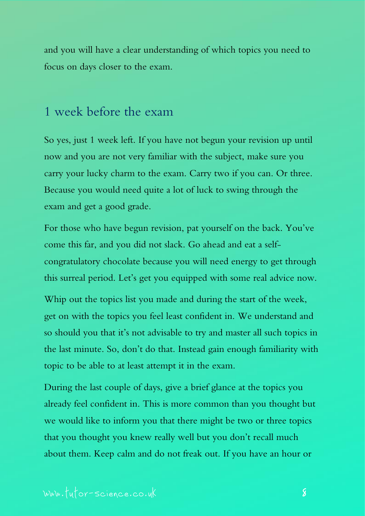and you will have a clear understanding of which topics you need to focus on days closer to the exam.

#### <span id="page-7-0"></span>1 week before the exam

So yes, just 1 week left. If you have not begun your revision up until now and you are not very familiar with the subject, make sure you carry your lucky charm to the exam. Carry two if you can. Or three. Because you would need quite a lot of luck to swing through the exam and get a good grade.

For those who have begun revision, pat yourself on the back. You've come this far, and you did not slack. Go ahead and eat a selfcongratulatory chocolate because you will need energy to get through this surreal period. Let's get you equipped with some real advice now.

Whip out the topics list you made and during the start of the week, get on with the topics you feel least confident in. We understand and so should you that it's not advisable to try and master all such topics in the last minute. So, don't do that. Instead gain enough familiarity with topic to be able to at least attempt it in the exam.

During the last couple of days, give a brief glance at the topics you already feel confident in. This is more common than you thought but we would like to inform you that there might be two or three topics that you thought you knew really well but you don't recall much about them. Keep calm and do not freak out. If you have an hour or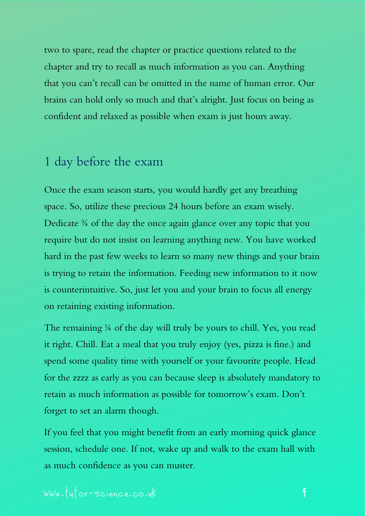two to spare, read the chapter or practice questions related to the chapter and try to recall as much information as you can. Anything that you can't recall can be omitted in the name of human error. Our brains can hold only so much and that's alright. Just focus on being as confident and relaxed as possible when exam is just hours away.

# <span id="page-8-0"></span>1 day before the exam

Once the exam season starts, you would hardly get any breathing space. So, utilize these precious 24 hours before an exam wisely. Dedicate <sup>3/4</sup> of the day the once again glance over any topic that you require but do not insist on learning anything new. You have worked hard in the past few weeks to learn so many new things and your brain is trying to retain the information. Feeding new information to it now is counterintuitive. So, just let you and your brain to focus all energy on retaining existing information.

The remaining ¼ of the day will truly be yours to chill. Yes, you read it right. Chill. Eat a meal that you truly enjoy (yes, pizza is fine.) and spend some quality time with yourself or your favourite people. Head for the zzzz as early as you can because sleep is absolutely mandatory to retain as much information as possible for tomorrow's exam. Don't forget to set an alarm though.

If you feel that you might benefit from an early morning quick glance session, schedule one. If not, wake up and walk to the exam hall with as much confidence as you can muster.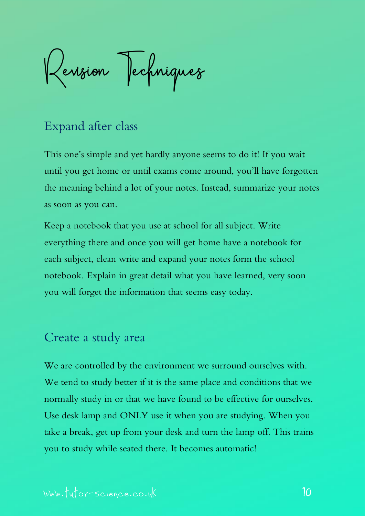<span id="page-9-0"></span>Revision Jechniques

# <span id="page-9-1"></span>Expand after class

This one's simple and yet hardly anyone seems to do it! If you wait until you get home or until exams come around, you'll have forgotten the meaning behind a lot of your notes. Instead, summarize your notes as soon as you can.

Keep a notebook that you use at school for all subject. Write everything there and once you will get home have a notebook for each subject, clean write and expand your notes form the school notebook. Explain in great detail what you have learned, very soon you will forget the information that seems easy today.

#### <span id="page-9-2"></span>Create a study area

We are controlled by the environment we surround ourselves with. We tend to study better if it is the same place and conditions that we normally study in or that we have found to be effective for ourselves. Use desk lamp and ONLY use it when you are studying. When you take a break, get up from your desk and turn the lamp off. This trains you to study while seated there. It becomes automatic!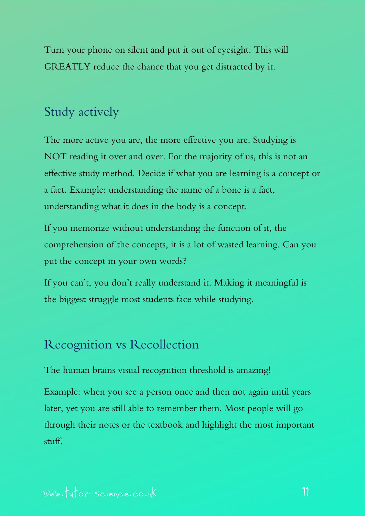Turn your phone on silent and put it out of eyesight. This will GREATLY reduce the chance that you get distracted by it.

# <span id="page-10-0"></span>Study actively

The more active you are, the more effective you are. Studying is NOT reading it over and over. For the majority of us, this is not an effective study method. Decide if what you are learning is a concept or a fact. Example: understanding the name of a bone is a fact, understanding what it does in the body is a concept.

If you memorize without understanding the function of it, the comprehension of the concepts, it is a lot of wasted learning. Can you put the concept in your own words?

If you can't, you don't really understand it. Making it meaningful is the biggest struggle most students face while studying.

### <span id="page-10-1"></span>Recognition vs Recollection

The human brains visual recognition threshold is amazing!

Example: when you see a person once and then not again until years later, yet you are still able to remember them. Most people will go through their notes or the textbook and highlight the most important stuff.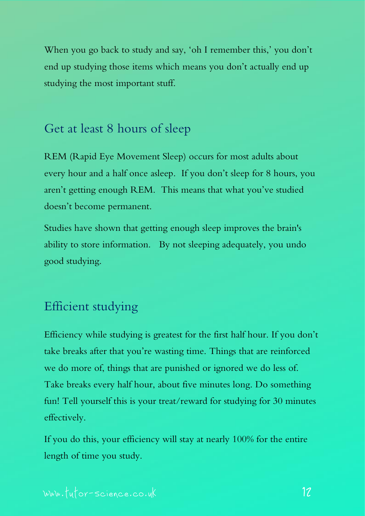When you go back to study and say, 'oh I remember this,' you don't end up studying those items which means you don't actually end up studying the most important stuff.

# <span id="page-11-0"></span>Get at least 8 hours of sleep

REM (Rapid Eye Movement Sleep) occurs for most adults about every hour and a half once asleep. If you don't sleep for 8 hours, you aren't getting enough REM. This means that what you've studied doesn't become permanent.

Studies have shown that getting enough sleep improves the brain's ability to store information. By not sleeping adequately, you undo good studying.

# <span id="page-11-1"></span>Efficient studying

Efficiency while studying is greatest for the first half hour. If you don't take breaks after that you're wasting time. Things that are reinforced we do more of, things that are punished or ignored we do less of. Take breaks every half hour, about five minutes long. Do something fun! Tell yourself this is your treat/reward for studying for 30 minutes effectively.

If you do this, your efficiency will stay at nearly 100% for the entire length of time you study.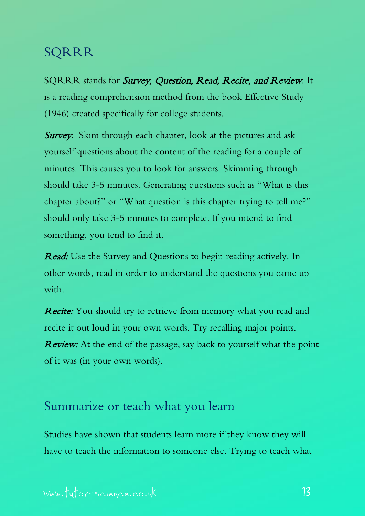### <span id="page-12-0"></span>SQRRR

SQRRR stands for Survey, Question, Read, Recite, and Review. It is a reading comprehension method from the book Effective Study (1946) created specifically for college students.

**Survey:** Skim through each chapter, look at the pictures and ask yourself questions about the content of the reading for a couple of minutes. This causes you to look for answers. Skimming through should take 3-5 minutes. Generating questions such as "What is this chapter about?" or "What question is this chapter trying to tell me?" should only take 3-5 minutes to complete. If you intend to find something, you tend to find it.

Read: Use the Survey and Questions to begin reading actively. In other words, read in order to understand the questions you came up with.

Recite: You should try to retrieve from memory what you read and recite it out loud in your own words. Try recalling major points. **Review:** At the end of the passage, say back to yourself what the point of it was (in your own words).

### <span id="page-12-1"></span>Summarize or teach what you learn

Studies have shown that students learn more if they know they will have to teach the information to someone else. Trying to teach what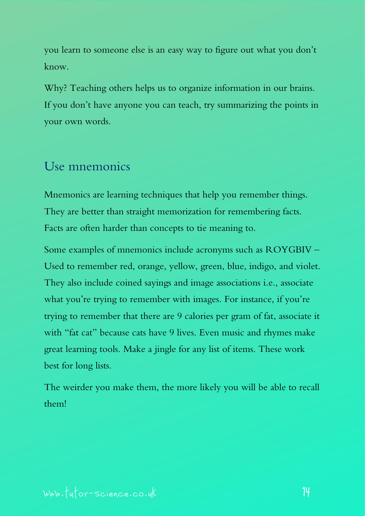you learn to someone else is an easy way to figure out what you don't know.

Why? Teaching others helps us to organize information in our brains. If you don't have anyone you can teach, try summarizing the points in your own words.

# <span id="page-13-0"></span>Use mnemonics

Mnemonics are learning techniques that help you remember things. They are better than straight memorization for remembering facts. Facts are often harder than concepts to tie meaning to.

Some examples of mnemonics include acronyms such as ROYGBIV – Used to remember red, orange, yellow, green, blue, indigo, and violet. They also include coined sayings and image associations i.e., associate what you're trying to remember with images. For instance, if you're trying to remember that there are 9 calories per gram of fat, associate it with "fat cat" because cats have 9 lives. Even music and rhymes make great learning tools. Make a jingle for any list of items. These work best for long lists.

The weirder you make them, the more likely you will be able to recall them!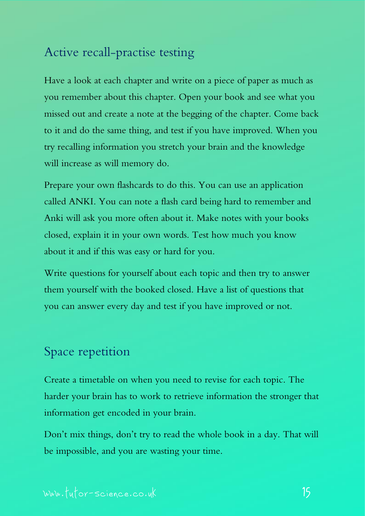# <span id="page-14-0"></span>Active recall-practise testing

Have a look at each chapter and write on a piece of paper as much as you remember about this chapter. Open your book and see what you missed out and create a note at the begging of the chapter. Come back to it and do the same thing, and test if you have improved. When you try recalling information you stretch your brain and the knowledge will increase as will memory do.

Prepare your own flashcards to do this. You can use an application called ANKI. You can note a flash card being hard to remember and Anki will ask you more often about it. Make notes with your books closed, explain it in your own words. Test how much you know about it and if this was easy or hard for you.

Write questions for yourself about each topic and then try to answer them yourself with the booked closed. Have a list of questions that you can answer every day and test if you have improved or not.

# <span id="page-14-1"></span>Space repetition

Create a timetable on when you need to revise for each topic. The harder your brain has to work to retrieve information the stronger that information get encoded in your brain.

Don't mix things, don't try to read the whole book in a day. That will be impossible, and you are wasting your time.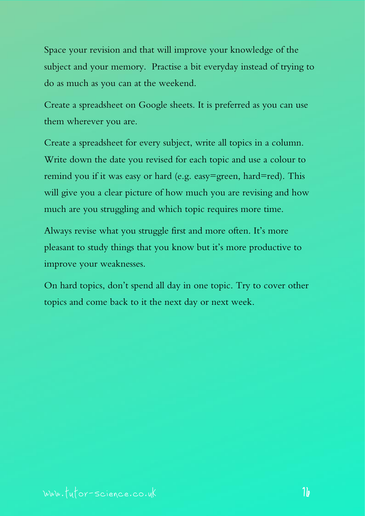Space your revision and that will improve your knowledge of the subject and your memory. Practise a bit everyday instead of trying to do as much as you can at the weekend.

Create a spreadsheet on Google sheets. It is preferred as you can use them wherever you are.

Create a spreadsheet for every subject, write all topics in a column. Write down the date you revised for each topic and use a colour to remind you if it was easy or hard (e.g. easy=green, hard=red). This will give you a clear picture of how much you are revising and how much are you struggling and which topic requires more time.

Always revise what you struggle first and more often. It's more pleasant to study things that you know but it's more productive to improve your weaknesses.

On hard topics, don't spend all day in one topic. Try to cover other topics and come back to it the next day or next week.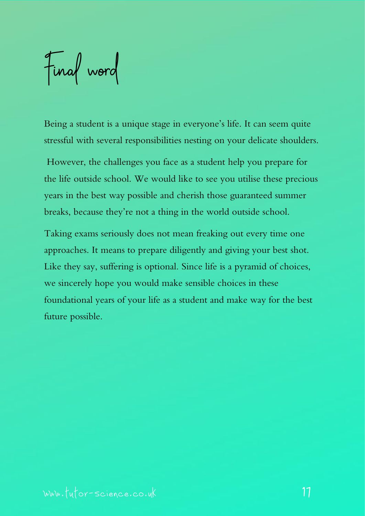<span id="page-16-0"></span>Final word

Being a student is a unique stage in everyone's life. It can seem quite stressful with several responsibilities nesting on your delicate shoulders.

However, the challenges you face as a student help you prepare for the life outside school. We would like to see you utilise these precious years in the best way possible and cherish those guaranteed summer breaks, because they're not a thing in the world outside school.

Taking exams seriously does not mean freaking out every time one approaches. It means to prepare diligently and giving your best shot. Like they say, suffering is optional. Since life is a pyramid of choices, we sincerely hope you would make sensible choices in these foundational years of your life as a student and make way for the best future possible.